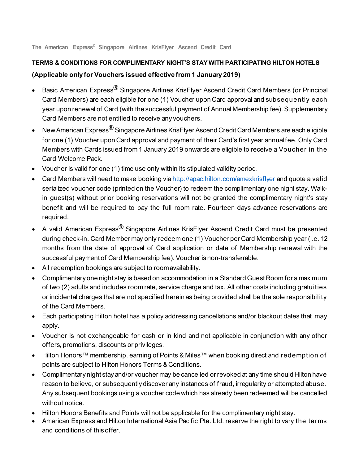**The American Express® Singapore Airlines KrisFlyer Ascend Credit Card**

## **TERMS & CONDITIONS FOR COMPLIMENTARY NIGHT'S STAY WITH PARTICIPATING HILTON HOTELS**

## **(Applicable only for Vouchers issued effective from 1 January 2019)**

- Basic American Express<sup>®</sup> Singapore Airlines KrisFlyer Ascend Credit Card Members (or Principal Card Members) are each eligible for one (1) Voucher upon Card approval and subsequently each year upon renewal of Card (with the successful payment of Annual Membership fee). Supplementary Card Members are not entitled to receive any vouchers.
- New American Express $^\circledR$  Singapore Airlines KrisFlyer Ascend Credit Card Members are each eligible for one (1) Voucher upon Card approval and payment of their Card's first year annualfee. Only Card Members with Cards issued from 1 January 2019 onwards are eligible to receive a Voucher in the Card Welcome Pack.
- Voucher is valid for one (1) time use only within its stipulated validity period.
- Card Members will need to make booking via <http://apac.hilton.com/amexkrisflyer> and quote a valid serialized voucher code (printed on the Voucher) to redeem the complimentary one night stay. Walkin guest(s) without prior booking reservations will not be granted the complimentary night's stay benefit and will be required to pay the full room rate. Fourteen days advance reservations are required.
- A valid American Express $^{\circledR}$  Singapore Airlines KrisFlyer Ascend Credit Card must be presented during check-in. Card Member may only redeem one (1) Voucher per Card Membership year (i.e. 12 months from the date of approval of Card application or date of Membership renewal with the successful payment of Card Membership fee). Voucher is non-transferrable.
- All redemption bookings are subject to roomavailability.
- Complimentary one night stay is based on accommodation in a Standard Guest Room for a maximum of two (2) adults and includes room rate, service charge and tax. All other costs including gratuities or incidental charges that are not specified herein as being provided shall be the sole responsibility of the Card Members.
- Each participating Hilton hotel has a policy addressing cancellations and/or blackout dates that may apply.
- Voucher is not exchangeable for cash or in kind and not applicable in conjunction with any other offers, promotions, discounts or privileges.
- Hilton Honors™ membership, earning of Points & Miles™ when booking direct and redemption of points are subject to Hilton Honors Terms & Conditions.
- Complimentary night stay and/or voucher may be cancelled or revoked at any time should Hilton have reason to believe, or subsequently discover any instances of fraud, irregularity or attempted abuse. Any subsequent bookings using a voucher code which has already been redeemed will be cancelled without notice.
- Hilton Honors Benefits and Points will not be applicable for the complimentary night stay.
- American Express and Hilton International Asia Pacific Pte. Ltd. reserve the right to vary the terms and conditions of this offer.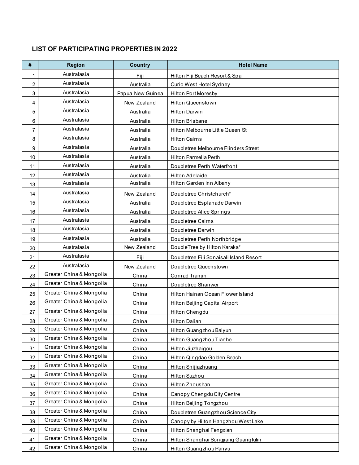## **LIST OF PARTICIPATING PROPERTIES IN 2022**

| #  | <b>Region</b>            | <b>Country</b>   | <b>Hotel Name</b>                       |
|----|--------------------------|------------------|-----------------------------------------|
| 1  | Australasia              | Fiii             | Hilton Fiji Beach Resort & Spa          |
| 2  | Australasia              | Australia        | Curio West Hotel Sydney                 |
| 3  | Australasia              | Papua New Guinea | <b>Hilton Port Moresby</b>              |
| 4  | Australasia              | New Zealand      | <b>Hilton Queenstown</b>                |
| 5  | Australasia              | Australia        | <b>Hilton Darwin</b>                    |
| 6  | Australasia              | Australia        | <b>Hilton Brisbane</b>                  |
| 7  | Australasia              | Australia        | Hilton Melbourne Little Queen St        |
| 8  | Australasia              | Australia        | <b>Hilton Cairns</b>                    |
| 9  | Australasia              | Australia        | Doubletree Melbourne Flinders Street    |
| 10 | Australasia              | Australia        | Hilton Parmelia Perth                   |
| 11 | Australasia              | Australia        | Doubletree Perth Waterfront             |
| 12 | Australasia              | Australia        | Hilton Adelaide                         |
| 13 | Australasia              | Australia        | Hilton Garden Inn Albany                |
| 14 | Australasia              | New Zealand      | Doubletree Christchurch*                |
| 15 | Australasia              | Australia        | Doubletree Esplanade Darwin             |
| 16 | Australasia              | Australia        | Doubletree Alice Springs                |
| 17 | Australasia              | Australia        | Doubletree Cairns                       |
| 18 | Australasia              | Australia        | Doubletree Darwin                       |
| 19 | Australasia              | Australia        | Doubletree Perth Northbridge            |
| 20 | Australasia              | New Zealand      | DoubleTree by Hilton Karaka*            |
| 21 | Australasia              | Fiii             | Doubletree Fiji Sonaisali Island Resort |
| 22 | Australasia              | New Zealand      | Doubletree Queenstown                   |
| 23 | Greater China & Mongolia | China            | Conrad Tianjin                          |
| 24 | Greater China & Mongolia | China            | Doubletree Shanwei                      |
| 25 | Greater China & Mongolia | China            | Hilton Hainan Ocean Flower Island       |
| 26 | Greater China & Mongolia | China            | Hilton Beijing Capital Airport          |
| 27 | Greater China & Mongolia | China            | Hilton Chengdu                          |
| 28 | Greater China & Mongolia | China            | <b>Hilton Dalian</b>                    |
| 29 | Greater China & Mongolia | China            | Hilton Guangzhou Baiyun                 |
| 30 | Greater China & Mongolia | China            | Hilton Guangzhou Tianhe                 |
| 31 | Greater China & Mongolia | China            | Hilton Jiuzhaigou                       |
| 32 | Greater China & Mongolia | China            | Hilton Qingdao Golden Beach             |
| 33 | Greater China & Mongolia | China            | Hilton Shijiazhuang                     |
| 34 | Greater China & Mongolia | China            | Hilton Suzhou                           |
| 35 | Greater China & Mongolia | China            | Hilton Zhoushan                         |
| 36 | Greater China & Mongolia | China            | Canopy Chengdu City Centre              |
| 37 | Greater China & Mongolia | China            | Hilton Beijing Tongzhou                 |
| 38 | Greater China & Mongolia | China            | Doubletree Guangzhou Science City       |
| 39 | Greater China & Mongolia | China            | Canopy by Hilton Hangzhou West Lake     |
| 40 | Greater China & Mongolia | China            | Hilton Shanghai Fengxian                |
| 41 | Greater China & Mongolia | China            | Hilton Shanghai Songjiang Guangfulin    |
| 42 | Greater China & Mongolia | China            | Hilton Guangzhou Panyu                  |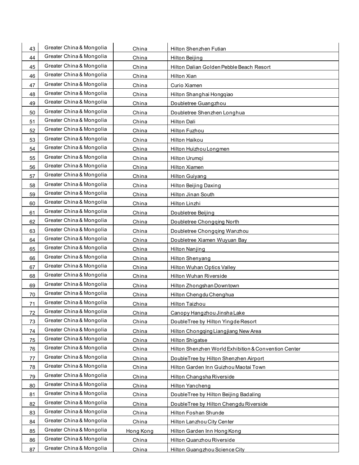| 43 | Greater China & Mongolia | China     | Hilton Shenzhen Futian                               |
|----|--------------------------|-----------|------------------------------------------------------|
| 44 | Greater China & Mongolia | China     | <b>Hilton Beijing</b>                                |
| 45 | Greater China & Mongolia | China     | Hilton Dalian Golden Pebble Beach Resort             |
| 46 | Greater China & Mongolia | China     | Hilton Xian                                          |
| 47 | Greater China & Mongolia | China     | Curio Xiamen                                         |
| 48 | Greater China & Mongolia | China     | Hilton Shanghai Hongqiao                             |
| 49 | Greater China & Mongolia | China     | Doubletree Guangzhou                                 |
| 50 | Greater China & Mongolia | China     | Doubletree Shenzhen Longhua                          |
| 51 | Greater China & Mongolia | China     | Hilton Dali                                          |
| 52 | Greater China & Mongolia | China     | Hilton Fuzhou                                        |
| 53 | Greater China & Mongolia | China     | Hilton Haikou                                        |
| 54 | Greater China & Mongolia | China     | Hilton Huizhou Longmen                               |
| 55 | Greater China & Mongolia | China     | Hilton Urumqi                                        |
| 56 | Greater China & Mongolia | China     | Hilton Xiamen                                        |
| 57 | Greater China & Mongolia | China     | <b>Hilton Guiyang</b>                                |
| 58 | Greater China & Mongolia | China     | Hilton Beijing Daxing                                |
| 59 | Greater China & Mongolia | China     | Hilton Jinan South                                   |
| 60 | Greater China & Mongolia | China     | Hilton Linzhi                                        |
| 61 | Greater China & Mongolia | China     | Doubletree Beijing                                   |
| 62 | Greater China & Mongolia | China     | Doubletree Chongqing North                           |
| 63 | Greater China & Mongolia | China     | Doubletree Chongqing Wanzhou                         |
| 64 | Greater China & Mongolia | China     | Doubletree Xiamen Wuyuan Bay                         |
| 65 | Greater China & Mongolia | China     | <b>Hilton Nanjing</b>                                |
| 66 | Greater China & Mongolia | China     | Hilton Shenyang                                      |
| 67 | Greater China & Mongolia | China     | Hilton Wuhan Optics Valley                           |
| 68 | Greater China & Mongolia | China     | Hilton Wuhan Riverside                               |
| 69 | Greater China & Mongolia | China     | Hilton Zhongshan Downtown                            |
| 70 | Greater China & Mongolia | China     | Hilton Chengdu Chenghua                              |
| 71 | Greater China & Mongolia | China     | Hilton Taizhou                                       |
| 72 | Greater China & Mongolia | China     | Canopy Hangzhou Jinsha Lake                          |
| 73 | Greater China & Mongolia | China     | DoubleTree by Hilton Yingde Resort                   |
| 74 | Greater China & Mongolia | China     | Hilton Chongqing Liangjiang New Area                 |
| 75 | Greater China & Mongolia | China     | <b>Hilton Shigatse</b>                               |
| 76 | Greater China & Mongolia | China     | Hilton Shenzhen World Exhibition & Convention Center |
| 77 | Greater China & Mongolia | China     | DoubleTree by Hilton Shenzhen Airport                |
| 78 | Greater China & Mongolia | China     | Hilton Garden Inn Guizhou Maotai Town                |
| 79 | Greater China & Mongolia | China     | Hilton Changsha Riverside                            |
| 80 | Greater China & Mongolia | China     | Hilton Yancheng                                      |
| 81 | Greater China & Mongolia | China     | DoubleTree by Hilton Beijing Badaling                |
| 82 | Greater China & Mongolia | China     | DoubleTree by Hilton Chengdu Riverside               |
| 83 | Greater China & Mongolia | China     | Hilton Foshan Shunde                                 |
| 84 | Greater China & Mongolia | China     | Hilton Lanzhou City Center                           |
| 85 | Greater China & Mongolia | Hong Kong | Hilton Garden Inn Hong Kong                          |
| 86 | Greater China & Mongolia | China     | Hilton Quanzhou Riverside                            |
| 87 | Greater China & Mongolia | China     | Hilton Guangzhou Science City                        |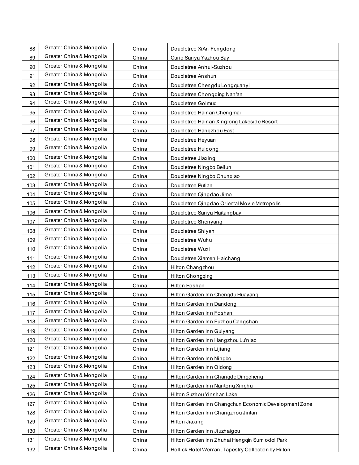| 88  | Greater China & Mongolia | China | Doubletree XiAn Fengdong                              |
|-----|--------------------------|-------|-------------------------------------------------------|
| 89  | Greater China & Mongolia | China | Curio Sanya Yazhou Bay                                |
| 90  | Greater China & Mongolia | China | Doubletree Anhui-Suzhou                               |
| 91  | Greater China & Mongolia | China | Doubletree Anshun                                     |
| 92  | Greater China & Mongolia | China | Doubletree Chengdu Longquanyi                         |
| 93  | Greater China & Mongolia | China | Doubletree Chongqing Nan'an                           |
| 94  | Greater China & Mongolia | China | Doubletree Golmud                                     |
| 95  | Greater China & Mongolia | China | Doubletree Hainan Chengmai                            |
| 96  | Greater China & Mongolia | China | Doubletree Hainan Xinglong Lakeside Resort            |
| 97  | Greater China & Mongolia | China | Doubletree Hangzhou East                              |
| 98  | Greater China & Mongolia | China | Doubletree Heyuan                                     |
| 99  | Greater China & Mongolia | China | Doubletree Huidong                                    |
| 100 | Greater China & Mongolia | China | Doubletree Jiaxing                                    |
| 101 | Greater China & Mongolia | China | Doubletree Ningbo Beilun                              |
| 102 | Greater China & Mongolia | China | Doubletree Ningbo Chunxiao                            |
| 103 | Greater China & Mongolia | China | Doubletree Putian                                     |
| 104 | Greater China & Mongolia | China | Doubletree Qingdao Jimo                               |
| 105 | Greater China & Mongolia | China | Doubletree Qingdao Oriental Movie Metropolis          |
| 106 | Greater China & Mongolia | China | Doubletree Sanya Haitangbay                           |
| 107 | Greater China & Mongolia | China | Doubletree Shenyang                                   |
| 108 | Greater China & Mongolia | China | Doubletree Shiyan                                     |
| 109 | Greater China & Mongolia | China | Doubletree Wuhu                                       |
| 110 | Greater China & Mongolia | China | Doubletree Wuxi                                       |
| 111 | Greater China & Mongolia | China | Doubletree Xiamen Haichang                            |
| 112 | Greater China & Mongolia | China | Hilton Changzhou                                      |
| 113 | Greater China & Mongolia | China | <b>Hilton Chongqing</b>                               |
| 114 | Greater China & Mongolia | China | Hilton Foshan                                         |
| 115 | Greater China & Mongolia | China | Hilton Garden Inn Chengdu Huayang                     |
| 116 | Greater China & Mongolia | China | Hilton Garden Inn Dandong                             |
| 117 | Greater China & Mongolia | China | Hilton Garden Inn Foshan                              |
| 118 | Greater China & Mongolia | China | Hilton Garden Inn Fuzhou Cangshan                     |
| 119 | Greater China & Mongolia | China | Hilton Garden Inn Guiyang                             |
| 120 | Greater China & Mongolia | China | Hilton Garden Inn Hangzhou Lu'niao                    |
| 121 | Greater China & Mongolia | China | Hilton Garden Inn Lijiang                             |
| 122 | Greater China & Mongolia | China | Hilton Garden Inn Ningbo                              |
| 123 | Greater China & Mongolia | China | Hilton Garden Inn Qidong                              |
| 124 | Greater China & Mongolia | China | Hilton Garden Inn Changde Dingcheng                   |
| 125 | Greater China & Mongolia | China | Hilton Garden Inn Nantong Xinghu                      |
| 126 | Greater China & Mongolia | China | Hilton Suzhou Yinshan Lake                            |
| 127 | Greater China & Mongolia | China | Hilton Garden Inn Changchun Economic Development Zone |
| 128 | Greater China & Mongolia | China | Hilton Garden Inn Changzhou Jintan                    |
| 129 | Greater China & Mongolia | China | <b>Hilton Jiaxing</b>                                 |
| 130 | Greater China & Mongolia | China | Hilton Garden Inn Jiuzhaigou                          |
| 131 | Greater China & Mongolia | China | Hilton Garden Inn Zhuhai Hengqin Sumlodol Park        |
| 132 | Greater China & Mongolia | China | Hollick Hotel Wen'an, Tapestry Collection by Hilton   |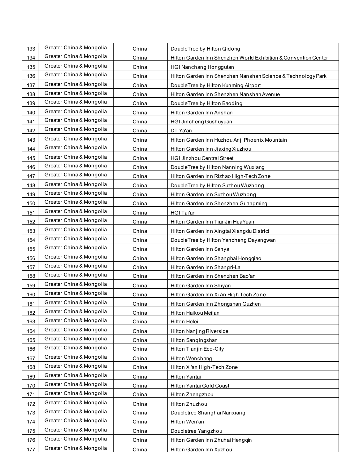| 133 | Greater China & Mongolia | China | DoubleTree by Hilton Qidong                                     |
|-----|--------------------------|-------|-----------------------------------------------------------------|
| 134 | Greater China & Mongolia | China | Hilton Garden Inn Shenzhen World Exhibition & Convention Center |
| 135 | Greater China & Mongolia | China | <b>HGI Nanchang Honggutan</b>                                   |
| 136 | Greater China & Mongolia | China | Hilton Garden Inn Shenzhen Nanshan Science & Technology Park    |
| 137 | Greater China & Mongolia | China | DoubleTree by Hilton Kunming Airport                            |
| 138 | Greater China & Mongolia | China | Hilton Garden Inn Shenzhen Nanshan Avenue                       |
| 139 | Greater China & Mongolia | China | DoubleTree by Hilton Baoding                                    |
| 140 | Greater China & Mongolia | China | Hilton Garden Inn Anshan                                        |
| 141 | Greater China & Mongolia | China | <b>HGI Jincheng Gushuyuan</b>                                   |
| 142 | Greater China & Mongolia | China | DT Ya'an                                                        |
| 143 | Greater China & Mongolia | China | Hilton Garden Inn Huzhou Anji Phoenix Mountain                  |
| 144 | Greater China & Mongolia | China | Hilton Garden Inn Jiaxing Xiuzhou                               |
| 145 | Greater China & Mongolia | China | <b>HGI Jinzhou Central Street</b>                               |
| 146 | Greater China & Mongolia | China | DoubleTree by Hilton Nanning Wuxiang                            |
| 147 | Greater China & Mongolia | China | Hilton Garden Inn Rizhao High-Tech Zone                         |
| 148 | Greater China & Mongolia | China | DoubleTree by Hilton Suzhou Wuzhong                             |
| 149 | Greater China & Mongolia | China | Hilton Garden Inn Suzhou Wuzhong                                |
| 150 | Greater China & Mongolia | China | Hilton Garden Inn Shenzhen Guangming                            |
| 151 | Greater China & Mongolia | China | <b>HGI Tai'an</b>                                               |
| 152 | Greater China & Mongolia | China | Hilton Garden Inn TianJin HuaYuan                               |
| 153 | Greater China & Mongolia | China | Hilton Garden Inn Xingtai Xiangdu District                      |
| 154 | Greater China & Mongolia | China | DoubleTree by Hilton Yancheng Dayangwan                         |
| 155 | Greater China & Mongolia | China | Hilton Garden Inn Sanya                                         |
| 156 | Greater China & Mongolia | China | Hilton Garden Inn Shanghai Hongqiao                             |
| 157 | Greater China & Mongolia | China | Hilton Garden Inn Shangri-La                                    |
| 158 | Greater China & Mongolia | China | Hilton Garden Inn Shenzhen Bao'an                               |
| 159 | Greater China & Mongolia | China | Hilton Garden Inn Shiyan                                        |
| 160 | Greater China & Mongolia | China | Hilton Garden Inn Xi An High Tech Zone                          |
| 161 | Greater China & Mongolia | China | Hilton Garden Inn Zhongshan Guzhen                              |
| 162 | Greater China & Mongolia | China | Hilton Haikou Meilan                                            |
| 163 | Greater China & Mongolia | China | Hilton Hefei                                                    |
| 164 | Greater China & Mongolia | China | Hilton Nanjing Riverside                                        |
| 165 | Greater China & Mongolia | China | Hilton Sanqingshan                                              |
| 166 | Greater China & Mongolia | China | <b>Hilton Tianjin Eco-City</b>                                  |
| 167 | Greater China & Mongolia | China | Hilton Wenchang                                                 |
| 168 | Greater China & Mongolia | China | Hilton Xi'an High-Tech Zone                                     |
| 169 | Greater China & Mongolia | China | Hilton Yantai                                                   |
| 170 | Greater China & Mongolia | China | Hilton Yantai Gold Coast                                        |
| 171 | Greater China & Mongolia | China | Hilton Zhengzhou                                                |
| 172 | Greater China & Mongolia | China | Hilton Zhuzhou                                                  |
| 173 | Greater China & Mongolia | China | Doubletree Shanghai Nanxiang                                    |
| 174 | Greater China & Mongolia | China | Hilton Wen'an                                                   |
| 175 | Greater China & Mongolia | China | Doubletree Yangzhou                                             |
| 176 | Greater China & Mongolia | China | Hilton Garden Inn Zhuhai Hengqin                                |
| 177 | Greater China & Mongolia | China | Hilton Garden Inn Xuzhou                                        |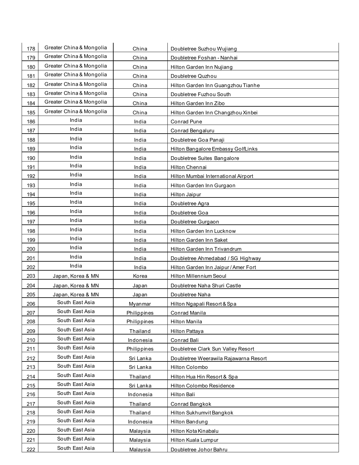| 178 | Greater China & Mongolia | China            | Doubletree Suzhou Wujiang             |
|-----|--------------------------|------------------|---------------------------------------|
| 179 | Greater China & Mongolia | China            | Doubletree Foshan - Nanhai            |
| 180 | Greater China & Mongolia | China            | Hilton Garden Inn Nujiang             |
| 181 | Greater China & Mongolia | China            | Doubletree Quzhou                     |
| 182 | Greater China & Mongolia | China            | Hilton Garden Inn Guangzhou Tianhe    |
| 183 | Greater China & Mongolia | China            | Doubletree Fuzhou South               |
| 184 | Greater China & Mongolia | China            | Hilton Garden Inn Zibo                |
| 185 | Greater China & Mongolia | China            | Hilton Garden Inn Changzhou Xinbei    |
| 186 | India                    | India            | <b>Conrad Pune</b>                    |
| 187 | India                    | India            | Conrad Bengaluru                      |
| 188 | India                    | India            | Doubletree Goa Panaji                 |
| 189 | India                    | India            | Hilton Bangalore Embassy GolfLinks    |
| 190 | India                    | India            | Doubletree Suites Bangalore           |
| 191 | India                    | India            | Hilton Chennai                        |
| 192 | India                    | India            | Hilton Mumbai International Airport   |
| 193 | India                    | India            | Hilton Garden Inn Gurgaon             |
| 194 | India                    | India            | Hilton Jaipur                         |
| 195 | India                    | India            | Doubletree Agra                       |
| 196 | India                    | India            | Doubletree Goa                        |
| 197 | India                    | India            | Doubletree Gurgaon                    |
| 198 | India                    | India            | Hilton Garden Inn Lucknow             |
| 199 | India                    | India            | Hilton Garden Inn Saket               |
| 200 | India                    | India            | Hilton Garden Inn Trivandrum          |
| 201 | India                    | India            | Doubletree Ahmedabad / SG Highway     |
| 202 | India                    | India            | Hilton Garden Inn Jaipur / Amer Fort  |
| 203 | Japan, Korea & MN        | Korea            | Hilton Millennium Seoul               |
| 204 | Japan, Korea & MN        | Japan            | Doubletree Naha Shuri Castle          |
| 205 | Japan, Korea & MN        | Japan            | Doubletree Naha                       |
| 206 | South East Asia          | Myanmar          | Hilton Ngapali Resort & Spa           |
| 207 | South East Asia          | Philippines      | Conrad Manila                         |
| 208 | South East Asia          | Philippines      | Hilton Manila                         |
| 209 | South East Asia          | Thailand         | Hilton Pattaya                        |
| 210 | South East Asia          | Indonesia        | Conrad Bali                           |
| 211 | South East Asia          | Philippines      | Doubletree Clark Sun Valley Resort    |
| 212 | South East Asia          | Sri Lanka        | Doubletree Weerawila Rajawarna Resort |
| 213 | South East Asia          | Sri Lanka        | Hilton Colombo                        |
| 214 | South East Asia          | Thailand         | Hilton Hua Hin Resort & Spa           |
| 215 | South East Asia          | Sri Lanka        | Hilton Colombo Residence              |
| 216 | South East Asia          | <b>Indonesia</b> | Hilton Bali                           |
| 217 | South East Asia          | Thailand         | Conrad Bangkok                        |
| 218 | South East Asia          | Thailand         | Hilton Sukhumvit Bangkok              |
| 219 | South East Asia          | Indonesia        | Hilton Bandung                        |
| 220 | South East Asia          | Malaysia         | Hilton Kota Kinabalu                  |
| 221 | South East Asia          | Malaysia         | Hilton Kuala Lumpur                   |
| 222 | South East Asia          | Malaysia         | Doubletree Johor Bahru                |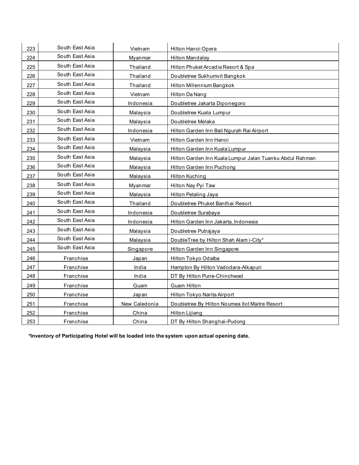| 223 | South East Asia | Vietnam       | Hilton Hanoi Opera                                       |
|-----|-----------------|---------------|----------------------------------------------------------|
| 224 | South East Asia | Myanmar       | Hilton Mandalay                                          |
| 225 | South East Asia | Thailand      | Hilton Phuket Arcadia Resort & Spa                       |
| 226 | South East Asia | Thailand      | Doubletree Sukhumvit Bangkok                             |
| 227 | South East Asia | Thailand      | Hilton Millennium Bangkok                                |
| 228 | South East Asia | Vietnam       | Hilton Da Nang                                           |
| 229 | South East Asia | Indonesia     | Doubletree Jakarta Diponegoro                            |
| 230 | South East Asia | Malaysia      | Doubletree Kuala Lumpur                                  |
| 231 | South East Asia | Malaysia      | Doubletree Melaka                                        |
| 232 | South East Asia | Indonesia     | Hilton Garden Inn Bali Ngurah Rai Airport                |
| 233 | South East Asia | Vietnam       | Hilton Garden Inn Hanoi                                  |
| 234 | South East Asia | Malaysia      | Hilton Garden Inn Kuala Lumpur                           |
| 235 | South East Asia | Malaysia      | Hilton Garden Inn Kuala Lumpur Jalan Tuanku Abdul Rahman |
| 236 | South East Asia | Malaysia      | Hilton Garden Inn Puchong                                |
| 237 | South East Asia | Malaysia      | Hilton Kuching                                           |
| 238 | South East Asia | Myanmar       | Hilton Nay Pyi Taw                                       |
| 239 | South East Asia | Malaysia      | Hilton Petaling Jaya                                     |
| 240 | South East Asia | Thailand      | Doubletree Phuket Banthai Resort                         |
| 241 | South East Asia | Indonesia     | Doubletree Surabaya                                      |
| 242 | South East Asia | Indonesia     | Hilton Garden Inn Jakarta, Indonesia                     |
| 243 | South East Asia | Malaysia      | Doubletree Putrajaya                                     |
| 244 | South East Asia | Malaysia      | DoubleTree by Hilton Shah Alam i-City*                   |
| 245 | South East Asia | Singapore     | Hilton Garden Inn Singapore                              |
| 246 | Franchise       | Japan         | Hilton Tokyo Odaiba                                      |
| 247 | Franchise       | India         | Hampton By Hilton Vadodara-Alkapuri                      |
| 248 | Franchise       | India         | DT By Hilton Pune-Chinchwad                              |
| 249 | Franchise       | Guam          | Guam Hilton                                              |
| 250 | Franchise       | Japan         | Hilton Tokyo Narita Airport                              |
| 251 | Franchise       | New Caledonia | Doubletree By Hilton Noumea Ilot Maitre Resort           |
| 252 | Franchise       | China         | Hilton Lijiang                                           |
| 253 | Franchise       | China         | DT By Hilton Shanghai-Pudong                             |

**\*Inventory of Participating Hotel will be loaded into the system upon actual opening date.**